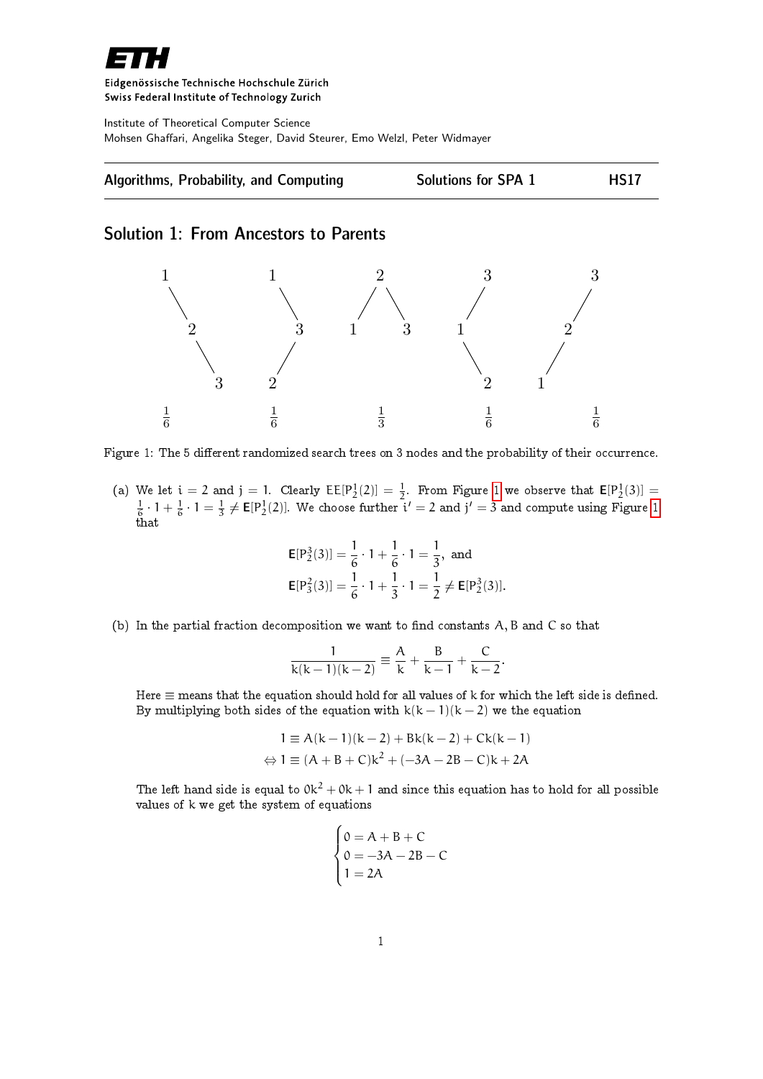

## Eidgenössische Technische Hochschule Zürich Swiss Federal Institute of Technology Zurich

Institute of Theoretical Computer Science Mohsen Ghaffari, Angelika Steger, David Steurer, Emo Welzl, Peter Widmayer



## Solution 1: From Ancestors to Parents



<span id="page-0-0"></span>Figure 1: The 5 different randomized search trees on 3 nodes and the probability of their occurrence.

(a) We let  $i = 2$  and  $j = 1$  $j = 1$ . Clearly  $\text{EE}[P_2^1(2)] = \frac{1}{2}$ . From Figure 1 we observe that  $\text{E}[P_2^1(3)] =$  $\frac{1}{6} \cdot 1 + \frac{1}{6} \cdot 1 = \frac{1}{3} \neq \mathsf{E}[P_2^1(2)]$  $\frac{1}{6} \cdot 1 + \frac{1}{6} \cdot 1 = \frac{1}{3} \neq \mathsf{E}[P_2^1(2)]$  $\frac{1}{6} \cdot 1 + \frac{1}{6} \cdot 1 = \frac{1}{3} \neq \mathsf{E}[P_2^1(2)]$ . We choose further  $i' = 2$  and  $j' = 3$  and compute using Figure 1 that

$$
\mathsf{E}[P_2^3(3)] = \frac{1}{6} \cdot 1 + \frac{1}{6} \cdot 1 = \frac{1}{3}, \text{ and}
$$
  
\n
$$
\mathsf{E}[P_3^2(3)] = \frac{1}{6} \cdot 1 + \frac{1}{3} \cdot 1 = \frac{1}{2} \neq \mathsf{E}[P_2^3(3)].
$$

(b) In the partial fraction decomposition we want to find constants  $A, B$  and  $C$  so that

$$
\frac{1}{k(k-1)(k-2)} \equiv \frac{A}{k} + \frac{B}{k-1} + \frac{C}{k-2}.
$$

Here  $\equiv$  means that the equation should hold for all values of k for which the left side is defined. By multiplying both sides of the equation with  $k(k-1)(k-2)$  we the equation

$$
1 = A(k-1)(k-2) + Bk(k-2) + Ck(k-1)
$$
  
\n
$$
\Leftrightarrow 1 \equiv (A + B + C)k^2 + (-3A - 2B - C)k + 2A
$$

The left hand side is equal to  $0k^2 + 0k + 1$  and since this equation has to hold for all possible values of k we get the system of equations

$$
\begin{cases}\n0 = A + B + C \\
0 = -3A - 2B - C \\
1 = 2A\n\end{cases}
$$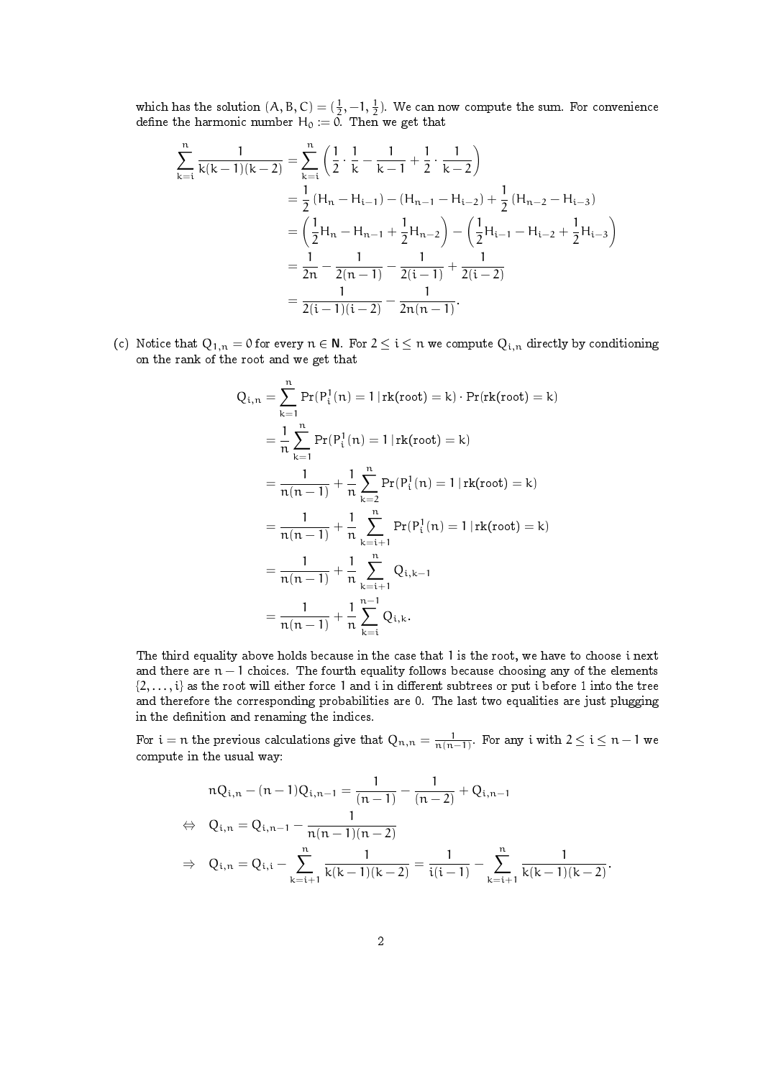which has the solution  $(A, B, C) = (\frac{1}{2}, -1, \frac{1}{2})$ . We can now compute the sum. For convenience define the harmonic number  ${\sf H}_0 \vcentcolon= 0$ . Then we get that

$$
\sum_{k=i}^{n} \frac{1}{k(k-1)(k-2)} = \sum_{k=i}^{n} \left( \frac{1}{2} \cdot \frac{1}{k} - \frac{1}{k-1} + \frac{1}{2} \cdot \frac{1}{k-2} \right)
$$
  
=  $\frac{1}{2} (H_n - H_{i-1}) - (H_{n-1} - H_{i-2}) + \frac{1}{2} (H_{n-2} - H_{i-3})$   
=  $\left( \frac{1}{2} H_n - H_{n-1} + \frac{1}{2} H_{n-2} \right) - \left( \frac{1}{2} H_{i-1} - H_{i-2} + \frac{1}{2} H_{i-3} \right)$   
=  $\frac{1}{2n} - \frac{1}{2(n-1)} - \frac{1}{2(i-1)} + \frac{1}{2(i-2)}$   
=  $\frac{1}{2(i-1)(i-2)} - \frac{1}{2n(n-1)}.$ 

(c) Notice that  $Q_{1,n} = 0$  for every  $n \in \mathbb{N}$ . For  $2 \leq i \leq n$  we compute  $Q_{i,n}$  directly by conditioning on the rank of the root and we get that

$$
Q_{i,n} = \sum_{k=1}^{n} Pr(P_i^1(n) = 1 | rk(root) = k) \cdot Pr(rk(root) = k)
$$
  
=  $\frac{1}{n} \sum_{k=1}^{n} Pr(P_i^1(n) = 1 | rk(root) = k)$   
=  $\frac{1}{n(n-1)} + \frac{1}{n} \sum_{k=2}^{n} Pr(P_i^1(n) = 1 | rk(root) = k)$   
=  $\frac{1}{n(n-1)} + \frac{1}{n} \sum_{k=i+1}^{n} Pr(P_i^1(n) = 1 | rk(root) = k)$   
=  $\frac{1}{n(n-1)} + \frac{1}{n} \sum_{k=i+1}^{n} Q_{i,k-1}$   
=  $\frac{1}{n(n-1)} + \frac{1}{n} \sum_{k=i}^{n-1} Q_{i,k}.$ 

The third equality above holds because in the case that 1 is the root, we have to choose i next and there are  $n - 1$  choices. The fourth equality follows because choosing any of the elements  $\{2,\ldots,i\}$  as the root will either force 1 and i in different subtrees or put i before 1 into the tree and therefore the corresponding probabilities are 0. The last two equalities are just plugging in the definition and renaming the indices.

For  $i=n$  the previous calculations give that  $Q_{n,n}=\frac{1}{n(n-1)}$ . For any  $i$  with  $2\leq i\leq n-1$  we compute in the usual way:

$$
nQ_{i,n} - (n-1)Q_{i,n-1} = \frac{1}{(n-1)} - \frac{1}{(n-2)} + Q_{i,n-1}
$$
  
\n
$$
\Leftrightarrow Q_{i,n} = Q_{i,n-1} - \frac{1}{n(n-1)(n-2)}
$$
  
\n
$$
\Rightarrow Q_{i,n} = Q_{i,i} - \sum_{k=i+1}^{n} \frac{1}{k(k-1)(k-2)} = \frac{1}{i(i-1)} - \sum_{k=i+1}^{n} \frac{1}{k(k-1)(k-2)}.
$$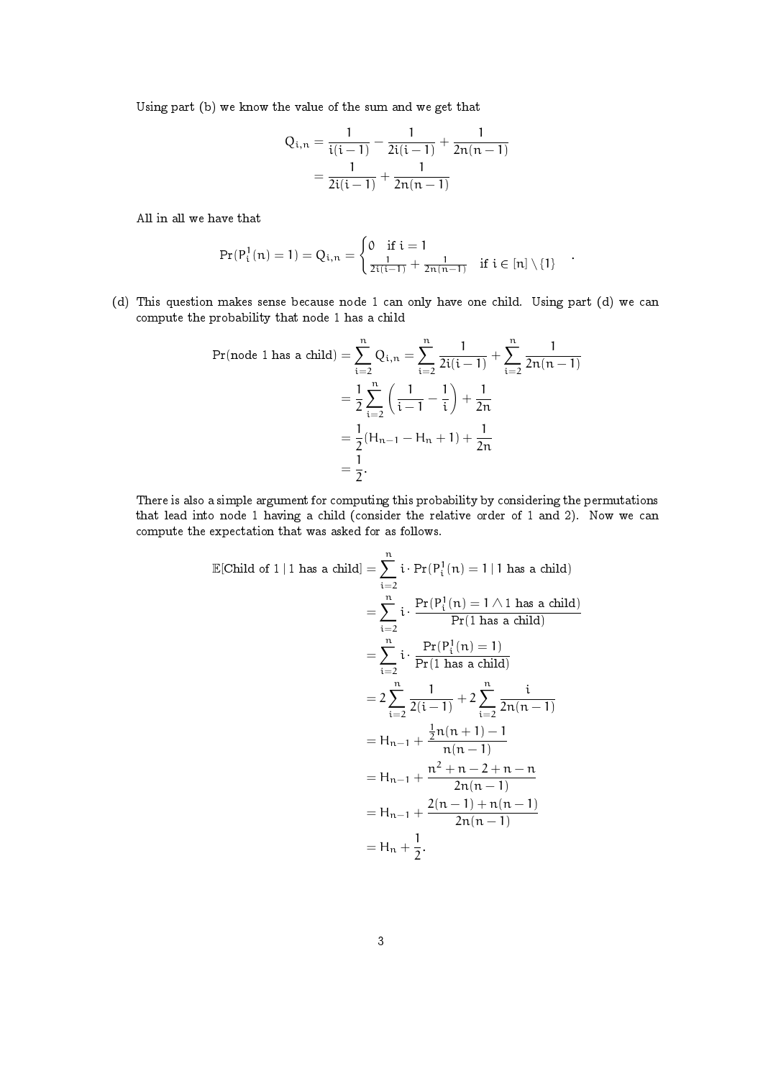Using part (b) we know the value of the sum and we get that

$$
Q_{i,n} = \frac{1}{i(i-1)} - \frac{1}{2i(i-1)} + \frac{1}{2n(n-1)}
$$

$$
= \frac{1}{2i(i-1)} + \frac{1}{2n(n-1)}
$$

All in all we have that

$$
\Pr(P_i^1(n) = 1) = Q_{i,n} = \begin{cases} 0 & \text{if } i = 1 \\ \frac{1}{2i(i-1)} + \frac{1}{2n(n-1)} & \text{if } i \in [n] \setminus \{1\} \end{cases}
$$

.

(d) This question makes sense because node 1 can only have one child. Using part (d) we can compute the probability that node 1 has a child

$$
\Pr(\text{node 1 has a child}) = \sum_{i=2}^{n} Q_{i,n} = \sum_{i=2}^{n} \frac{1}{2i(i-1)} + \sum_{i=2}^{n} \frac{1}{2n(n-1)}
$$

$$
= \frac{1}{2} \sum_{i=2}^{n} \left( \frac{1}{i-1} - \frac{1}{i} \right) + \frac{1}{2n}
$$

$$
= \frac{1}{2} (H_{n-1} - H_n + 1) + \frac{1}{2n}
$$

$$
= \frac{1}{2}.
$$

There is also a simple argument for computing this probability by considering the permutations that lead into node 1 having a child (consider the relative order of 1 and 2). Now we can compute the expectation that was asked for as follows.

$$
\mathbb{E}[\text{Child of 1 | 1 has a child}] = \sum_{i=2}^{n} i \cdot \Pr(P_i^1(n) = 1 | 1 has a child)
$$
  
= 
$$
\sum_{i=2}^{n} i \cdot \frac{\Pr(P_i^1(n) = 1 \land 1 has a child)}{\Pr(1 has a child)}
$$
  
= 
$$
\sum_{i=2}^{n} i \cdot \frac{\Pr(P_i^1(n) = 1)}{\Pr(1 has a child)}
$$
  
= 
$$
2 \sum_{i=2}^{n} \frac{1}{2(i-1)} + 2 \sum_{i=2}^{n} \frac{i}{2n(n-1)}
$$
  
= 
$$
H_{n-1} + \frac{\frac{1}{2}n(n+1) - 1}{n(n-1)}
$$
  
= 
$$
H_{n-1} + \frac{n^2 + n - 2 + n - n}{2n(n-1)}
$$
  
= 
$$
H_{n-1} + \frac{2(n-1) + n(n-1)}{2n(n-1)}
$$
  
= 
$$
H_n + \frac{1}{2}.
$$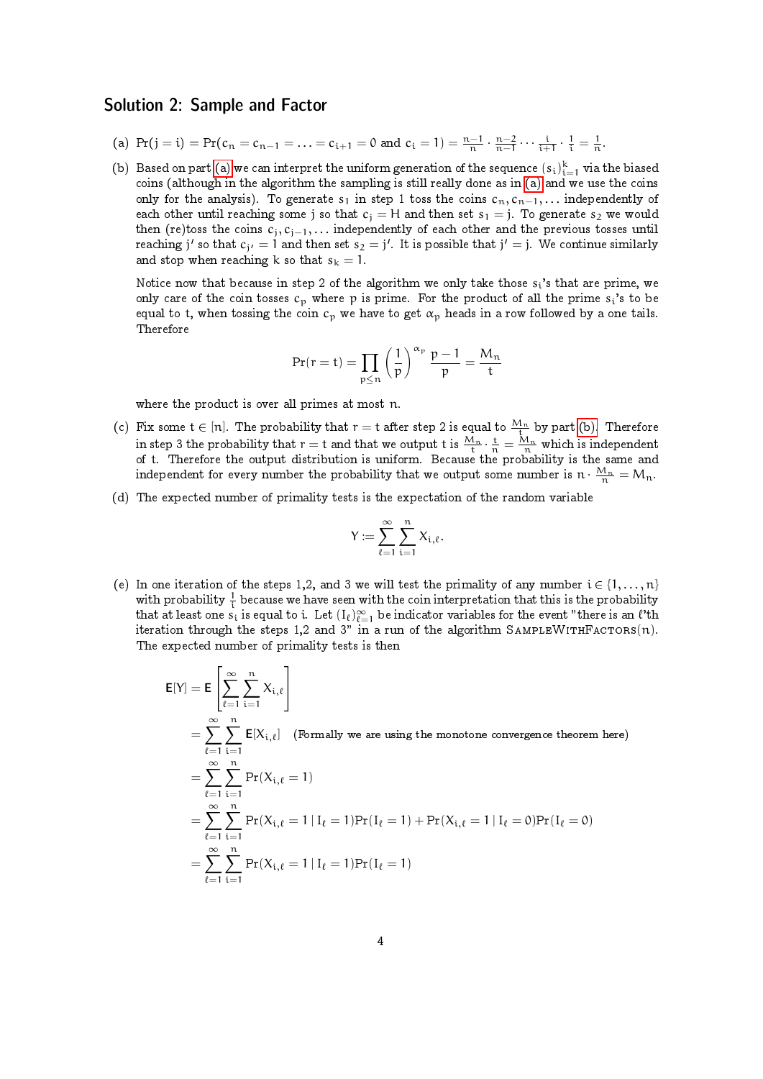## Solution 2: Sample and Factor

- <span id="page-3-0"></span>(a)  $Pr(j = i) = Pr(c_n = c_{n-1} = ... = c_{i+1} = 0 \text{ and } c_i = 1) = \frac{n-1}{n} \cdot \frac{n-2}{n-1} \cdots \frac{i}{i+1} \cdot \frac{1}{i} = \frac{1}{n}$ .
- <span id="page-3-1"></span>(b) Based on part [\(a\)](#page-3-0) we can interpret the uniform generation of the sequence  $(s_i)_{i=1}^k$  via the biased coins (although in the algorithm the sampling is still really done as in [\(a\)](#page-3-0) and we use the coins only for the analysis). To generate s<sub>1</sub> in step 1 toss the coins  $c_n, c_{n-1}, \ldots$  independently of each other until reaching some j so that  $c_i = H$  and then set  $s_1 = j$ . To generate  $s_2$  we would then (re)toss the coins  $c_j, c_{j-1}, \ldots$  independently of each other and the previous tosses until reaching  $\mathfrak j'$  so that  $\mathfrak c_{\mathfrak j'}=1$  and then set  $\mathfrak s_2=\mathfrak j'.$  It is possible that  $\mathfrak j'=\mathfrak j.$  We continue similarly and stop when reaching k so that  $s_k = 1$ .

Notice now that because in step 2 of the algorithm we only take those  $s_i$ 's that are prime, we only care of the coin tosses  $c_p$  where p is prime. For the product of all the prime  $s_i$ 's to be equal to t, when tossing the coin  $c_p$  we have to get  $\alpha_p$  heads in a row followed by a one tails. Therefore

$$
Pr(r=t)=\prod_{p\leq n}\left(\frac{1}{p}\right)^{\alpha_p}\frac{p-1}{p}=\frac{M_n}{t}
$$

where the product is over all primes at most n.

- (c) Fix some  $t \in [n]$ . The probability that  $r = t$  after step 2 is equal to  $\frac{M_n}{t}$  by part [\(b\).](#page-3-1) Therefore in step 3 the probability that  $r=t$  and that we output  $t$  is  $\frac{M_n}{t}\cdot\frac{t}{n}=\frac{M_n}{n}$  which is independent of t. Therefore the output distribution is uniform. Because the probability is the same and independent for every number the probability that we output some number is  $\mathfrak{n} \cdot \frac{M_\mathfrak{n}}{\mathfrak{n}} = \mathsf{M}_\mathfrak{n}.$
- (d) The expected number of primality tests is the expectation of the random variable

$$
Y:=\sum_{\ell=1}^\infty\sum_{i=1}^n X_{i,\ell}.
$$

(e) In one iteration of the steps 1,2, and 3 we will test the primality of any number  $i \in \{1, \ldots, n\}$ with probability  $\frac{1}{i}$  because we have seen with the coin interpretation that this is the probability that at least one  $s_i$  is equal to i. Let  $(\mathrm{I}_{\ell})_{\ell=1}^{\infty}$  be indicator variables for the event "there is an  $\ell$ 'th iteration through the steps 1,2 and 3" in a run of the algorithm SAMPLEWITHFACTORS(n). The expected number of primality tests is then

$$
E[Y] = E\left[\sum_{\ell=1}^{\infty} \sum_{i=1}^{n} X_{i,\ell}\right]
$$
  
\n
$$
= \sum_{\ell=1}^{\infty} \sum_{i=1}^{n} E[X_{i,\ell}] \quad \text{(Formally we are using the monotone convergence theorem here)}
$$
  
\n
$$
= \sum_{\ell=1}^{\infty} \sum_{i=1}^{n} \Pr(X_{i,\ell} = 1)
$$
  
\n
$$
= \sum_{\ell=1}^{\infty} \sum_{i=1}^{n} \Pr(X_{i,\ell} = 1 | I_{\ell} = 1) \Pr(I_{\ell} = 1) + \Pr(X_{i,\ell} = 1 | I_{\ell} = 0) \Pr(I_{\ell} = 0)
$$
  
\n
$$
= \sum_{\ell=1}^{\infty} \sum_{i=1}^{n} \Pr(X_{i,\ell} = 1 | I_{\ell} = 1) \Pr(I_{\ell} = 1)
$$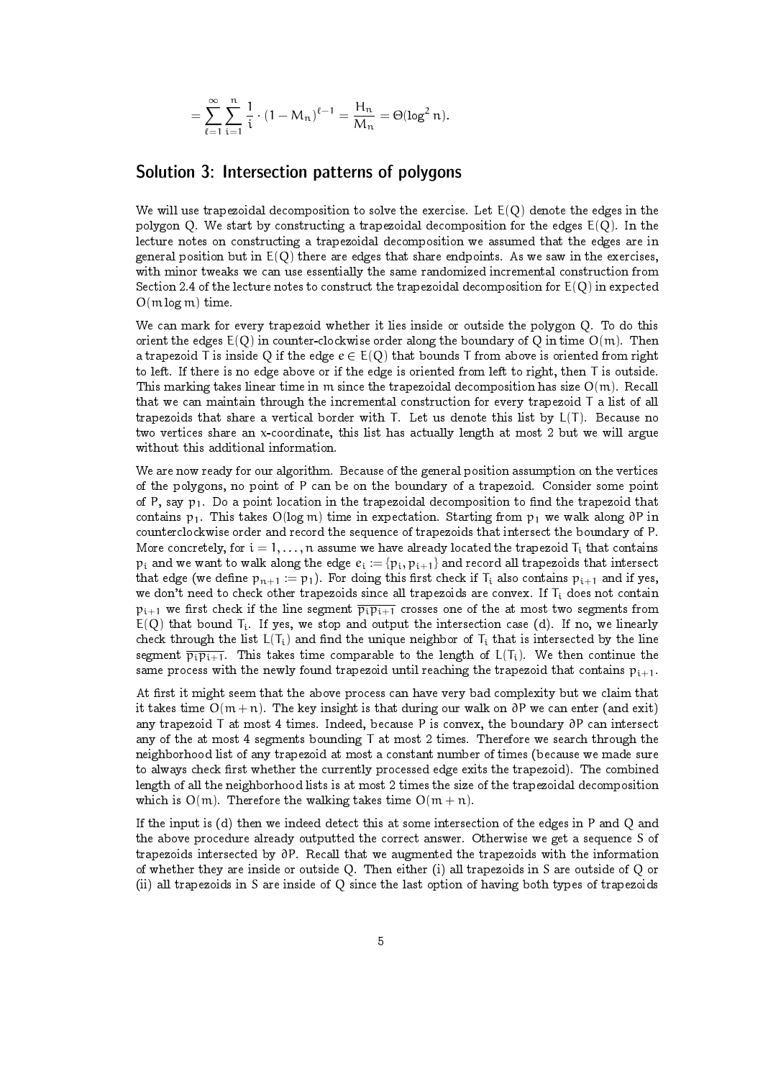$$
= \sum_{\ell=1}^{\infty} \sum_{i=1}^{n} \frac{1}{i} \cdot (1 - M_n)^{\ell-1} = \frac{H_n}{M_n} = \Theta(\log^2 n).
$$

## Solution 3: Intersection patterns of polygons

We will use trapezoidal decomposition to solve the exercise. Let  $E(Q)$  denote the edges in the polygon Q. We start by constructing a trapezoidal decomposition for the edges  $E(Q)$ . In the lecture notes on constructing a trapezoidal decomposition we assumed that the edges are in general position but in  $E(Q)$  there are edges that share endpoints. As we saw in the exercises, with minor tweaks we can use essentially the same randomized incremental construction from Section 2.4 of the lecture notes to construct the trapezoidal decomposition for  $E(Q)$  in expected O(m log m) time.

We can mark for every trapezoid whether it lies inside or outside the polygon Q. To do this orient the edges  $E(Q)$  in counter-clockwise order along the boundary of Q in time  $O(m)$ . Then a trapezoid T is inside Q if the edge  $e \in E(Q)$  that bounds T from above is oriented from right to left. If there is no edge above or if the edge is oriented from left to right, then T is outside. This marking takes linear time in m since the trapezoidal decomposition has size  $O(m)$ . Recall that we can maintain through the incremental construction for every trapezoid T a list of all trapezoids that share a vertical border with T. Let us denote this list by L(T). Because no two vertices share an x-coordinate, this list has actually length at most 2 but we will argue without this additional information.

We are now ready for our algorithm. Because of the general position assumption on the vertices of the polygons, no point of P can be on the boundary of a trapezoid. Consider some point of P, say  $p_1$ . Do a point location in the trapezoidal decomposition to find the trapezoid that contains p<sub>1</sub>. This takes O(log m) time in expectation. Starting from p<sub>1</sub> we walk along ∂P in counterclockwise order and record the sequence of trapezoids that intersect the boundary of P. More concretely, for  $i = 1, \ldots, n$  assume we have already located the trapezoid  $T_i$  that contains  $p_i$  and we want to walk along the edge  $e_i := \{p_i, p_{i+1}\}\$  and record all trapezoids that intersect that edge (we define  $p_{n+1} := p_1$ ). For doing this first check if  $T_i$  also contains  $p_{i+1}$  and if yes, we don't need to check other trapezoids since all trapezoids are convex. If  $T_i$  does not contain  $p_{i+1}$  we first check if the line segment  $\overline{p_i p_{i+1}}$  crosses one of the at most two segments from  $E(Q)$  that bound  $T_i$ . If yes, we stop and output the intersection case (d). If no, we linearly check through the list  $L(T_i)$  and find the unique neighbor of  $T_i$  that is intersected by the line segment  $\overline{p_i p_{i+1}}$ . This takes time comparable to the length of  $L(T_i)$ . We then continue the same process with the newly found trapezoid until reaching the trapezoid that contains  $p_{i+1}$ .

At first it might seem that the above process can have very bad complexity but we claim that it takes time  $O(m+n)$ . The key insight is that during our walk on ∂P we can enter (and exit) any trapezoid T at most 4 times. Indeed, because P is convex, the boundary ∂P can intersect any of the at most 4 segments bounding T at most 2 times. Therefore we search through the neighborhood list of any trapezoid at most a constant number of times (because we made sure to always check first whether the currently processed edge exits the trapezoid). The combined length of all the neighborhood lists is at most 2 times the size of the trapezoidal decomposition which is  $O(m)$ . Therefore the walking takes time  $O(m + n)$ .

If the input is (d) then we indeed detect this at some intersection of the edges in P and Q and the above procedure already outputted the correct answer. Otherwise we get a sequence S of trapezoids intersected by ∂P. Recall that we augmented the trapezoids with the information of whether they are inside or outside Q. Then either (i) all trapezoids in S are outside of Q or (ii) all trapezoids in S are inside of Q since the last option of having both types of trapezoids